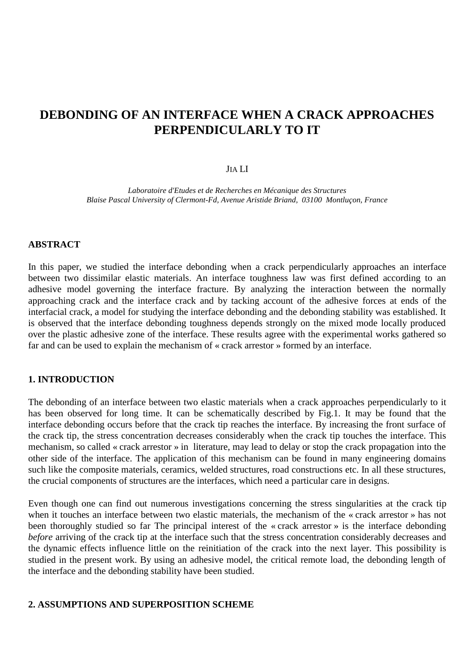# **DEBONDING OF AN INTERFACE WHEN A CRACK APPROACHES PERPENDICULARLY TO IT**

# JIA LI

*Laboratoire d'Etudes et de Recherches en Mécanique des Structures Blaise Pascal University of Clermont-Fd, Avenue Aristide Briand, 03100 Montluçon, France*

## **ABSTRACT**

In this paper, we studied the interface debonding when a crack perpendicularly approaches an interface between two dissimilar elastic materials. An interface toughness law was first defined according to an adhesive model governing the interface fracture. By analyzing the interaction between the normally approaching crack and the interface crack and by tacking account of the adhesive forces at ends of the interfacial crack, a model for studying the interface debonding and the debonding stability was established. It is observed that the interface debonding toughness depends strongly on the mixed mode locally produced over the plastic adhesive zone of the interface. These results agree with the experimental works gathered so far and can be used to explain the mechanism of « crack arrestor » formed by an interface.

### **1. INTRODUCTION**

The debonding of an interface between two elastic materials when a crack approaches perpendicularly to it has been observed for long time. It can be schematically described by Fig.1. It may be found that the interface debonding occurs before that the crack tip reaches the interface. By increasing the front surface of the crack tip, the stress concentration decreases considerably when the crack tip touches the interface. This mechanism, so called « crack arrestor » in literature, may lead to delay or stop the crack propagation into the other side of the interface. The application of this mechanism can be found in many engineering domains such like the composite materials, ceramics, welded structures, road constructions etc. In all these structures, the crucial components of structures are the interfaces, which need a particular care in designs.

Even though one can find out numerous investigations concerning the stress singularities at the crack tip when it touches an interface between two elastic materials, the mechanism of the « crack arrestor » has not been thoroughly studied so far The principal interest of the « crack arrestor » is the interface debonding *before* arriving of the crack tip at the interface such that the stress concentration considerably decreases and the dynamic effects influence little on the reinitiation of the crack into the next layer. This possibility is studied in the present work. By using an adhesive model, the critical remote load, the debonding length of the interface and the debonding stability have been studied.

# **2. ASSUMPTIONS AND SUPERPOSITION SCHEME**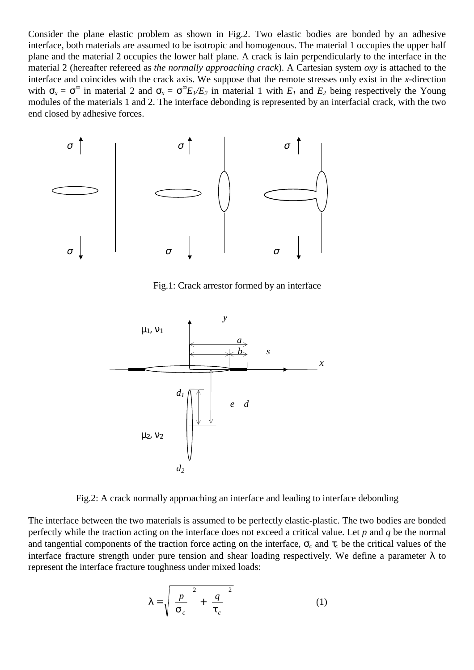Consider the plane elastic problem as shown in Fig.2. Two elastic bodies are bonded by an adhesive interface, both materials are assumed to be isotropic and homogenous. The material 1 occupies the upper half plane and the material 2 occupies the lower half plane. A crack is lain perpendicularly to the interface in the material 2 (hereafter refereed as *the normally approaching crack*). A Cartesian system *oxy* is attached to the interface and coincides with the crack axis. We suppose that the remote stresses only exist in the *x-*direction with  $\sigma_x = \sigma^{\infty}$  in material 2 and  $\sigma_x = \sigma^{\infty} E_1/E_2$  in material 1 with  $E_1$  and  $E_2$  being respectively the Young modules of the materials 1 and 2. The interface debonding is represented by an interfacial crack, with the two end closed by adhesive forces.



Fig.1: Crack arrestor formed by an interface



Fig.2: A crack normally approaching an interface and leading to interface debonding

The interface between the two materials is assumed to be perfectly elastic-plastic. The two bodies are bonded perfectly while the traction acting on the interface does not exceed a critical value. Let *p* and *q* be the normal and tangential components of the traction force acting on the interface,  $\sigma_c$  and  $\tau_c$  be the critical values of the interface fracture strength under pure tension and shear loading respectively. We define a parameter  $\lambda$  to represent the interface fracture toughness under mixed loads:

$$
\lambda = \sqrt{\left(\frac{p}{\sigma_c}\right)^2 + \left(\frac{q}{\tau_c}\right)^2} \tag{1}
$$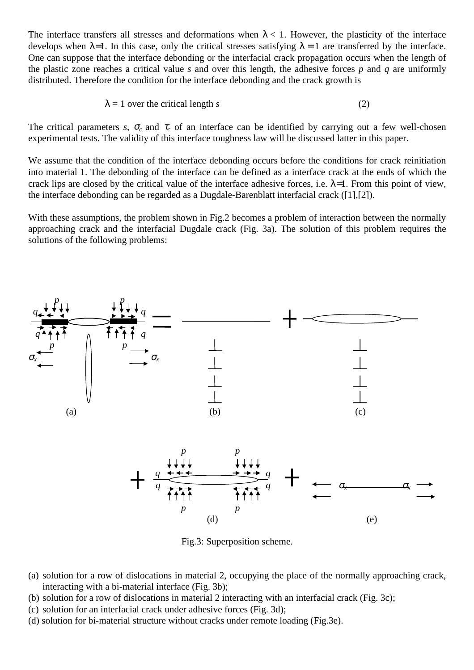The interface transfers all stresses and deformations when  $\lambda < 1$ . However, the plasticity of the interface develops when  $\lambda=1$ . In this case, only the critical stresses satisfying  $\lambda=1$  are transferred by the interface. One can suppose that the interface debonding or the interfacial crack propagation occurs when the length of the plastic zone reaches a critical value *s* and over this length, the adhesive forces *p* and *q* are uniformly distributed. Therefore the condition for the interface debonding and the crack growth is

$$
\lambda = 1 \text{ over the critical length } s \tag{2}
$$

The critical parameters *s*,  $\sigma_c$  and  $\tau_c$  of an interface can be identified by carrying out a few well-chosen experimental tests. The validity of this interface toughness law will be discussed latter in this paper.

We assume that the condition of the interface debonding occurs before the conditions for crack reinitiation into material 1. The debonding of the interface can be defined as a interface crack at the ends of which the crack lips are closed by the critical value of the interface adhesive forces, i.e.  $\lambda$ =1. From this point of view, the interface debonding can be regarded as a Dugdale-Barenblatt interfacial crack ([1],[2]).

With these assumptions, the problem shown in Fig.2 becomes a problem of interaction between the normally approaching crack and the interfacial Dugdale crack (Fig. 3a). The solution of this problem requires the solutions of the following problems:



Fig.3: Superposition scheme.

- (a) solution for a row of dislocations in material 2, occupying the place of the normally approaching crack, interacting with a bi-material interface (Fig. 3b);
- (b) solution for a row of dislocations in material 2 interacting with an interfacial crack (Fig. 3c);
- (c) solution for an interfacial crack under adhesive forces (Fig. 3d);
- (d) solution for bi-material structure without cracks under remote loading (Fig.3e).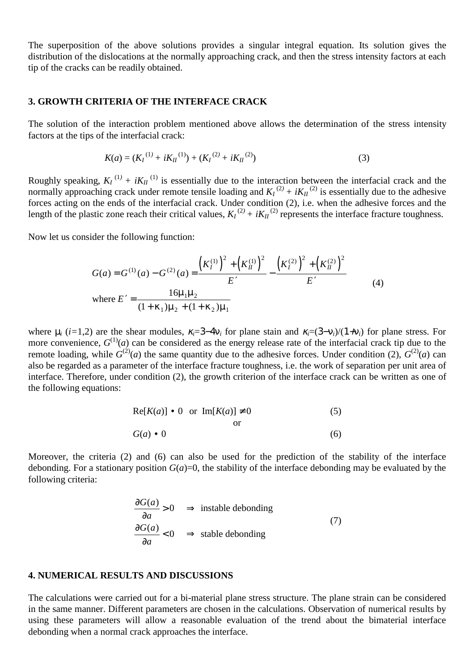The superposition of the above solutions provides a singular integral equation. Its solution gives the distribution of the dislocations at the normally approaching crack, and then the stress intensity factors at each tip of the cracks can be readily obtained.

## **3. GROWTH CRITERIA OF THE INTERFACE CRACK**

The solution of the interaction problem mentioned above allows the determination of the stress intensity factors at the tips of the interfacial crack:

$$
K(a) = (K_I^{(1)} + iK_{II}^{(1)}) + (K_I^{(2)} + iK_{II}^{(2)})
$$
\n(3)

Roughly speaking,  $K_I^{(1)} + iK_{II}^{(1)}$  is essentially due to the interaction between the interfacial crack and the normally approaching crack under remote tensile loading and  $K_I^{(2)} + iK_{II}^{(2)}$  is essentially due to the adhesive forces acting on the ends of the interfacial crack. Under condition (2), i.e. when the adhesive forces and the length of the plastic zone reach their critical values,  $K_I^{(2)} + iK_{II}^{(2)}$  represents the interface fracture toughness.

Now let us consider the following function:

$$
G(a) = G^{(1)}(a) - G^{(2)}(a) = \frac{\left(K_I^{(1)}\right)^2 + \left(K_{II}^{(1)}\right)^2}{E'} - \frac{\left(K_I^{(2)}\right)^2 + \left(K_{II}^{(2)}\right)^2}{E'}
$$
  
where  $E' = \frac{16\mu_1\mu_2}{(1 + \kappa_1)\mu_2 + (1 + \kappa_2)\mu_1}$  (4)

where  $\mu_i$  (*i*=1,2) are the shear modules,  $\kappa_i$ =3–4 $\nu_i$  for plane stain and  $\kappa_i$ =(3– $\nu_i$ )/(1+ $\nu_i$ ) for plane stress. For more convenience,  $G^{(1)}(a)$  can be considered as the energy release rate of the interfacial crack tip due to the remote loading, while  $G^{(2)}(a)$  the same quantity due to the adhesive forces. Under condition (2),  $G^{(2)}(a)$  can also be regarded as a parameter of the interface fracture toughness, i.e. the work of separation per unit area of interface. Therefore, under condition (2), the growth criterion of the interface crack can be written as one of the following equations:

$$
Re[K(a)] \cdot 0 \text{ or } Im[K(a)] \neq 0
$$
 (5)  
or  

$$
G(a) \cdot 0
$$
 (6)

Moreover, the criteria (2) and (6) can also be used for the prediction of the stability of the interface debonding. For a stationary position  $G(a)=0$ , the stability of the interface debonding may be evaluated by the following criteria:

$$
\frac{\partial G(a)}{\partial a} > 0 \implies \text{instable debonding}
$$
\n
$$
\frac{\partial G(a)}{\partial a} < 0 \implies \text{stable debonding}
$$
\n(7)

## **4. NUMERICAL RESULTS AND DISCUSSIONS**

The calculations were carried out for a bi-material plane stress structure. The plane strain can be considered in the same manner. Different parameters are chosen in the calculations. Observation of numerical results by using these parameters will allow a reasonable evaluation of the trend about the bimaterial interface debonding when a normal crack approaches the interface.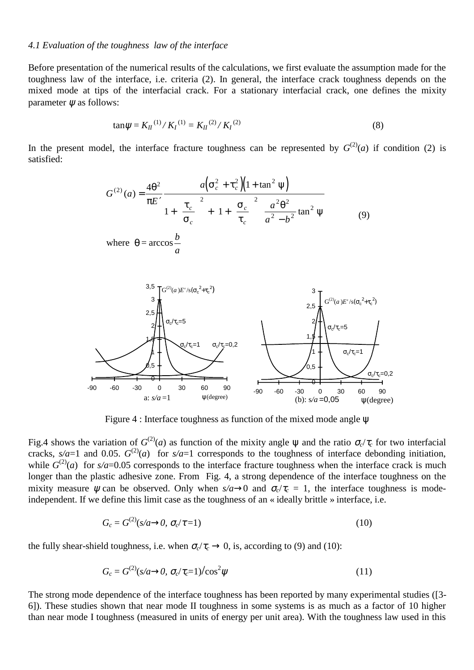#### *4.1 Evaluation of the toughness law of the interface*

Before presentation of the numerical results of the calculations, we first evaluate the assumption made for the toughness law of the interface, i.e. criteria (2). In general, the interface crack toughness depends on the mixed mode at tips of the interfacial crack. For a stationary interfacial crack, one defines the mixity parameter  $\psi$  as follows:

$$
\tan \psi = K_{II}^{(1)}/K_I^{(1)} = K_{II}^{(2)}/K_I^{(2)}
$$
\n(8)

In the present model, the interface fracture toughness can be represented by  $G^{(2)}(a)$  if condition (2) is satisfied:

$$
G^{(2)}(a) = \frac{4\theta^2}{\pi E'} \frac{a(\sigma_c^2 + \tau_c^2)(1 + \tan^2 \psi)}{1 + (\frac{\tau_c}{\sigma_c})^2 + \left[1 + (\frac{\sigma_c}{\tau_c})^2\right] \frac{a^2 \theta^2}{a^2 - b^2} \tan^2 \psi}
$$
(9)  
where  $\theta = \arccos \frac{b}{a}$ 



Figure 4 : Interface toughness as function of the mixed mode angle ψ

Fig.4 shows the variation of  $G^{(2)}(a)$  as function of the mixity angle  $\psi$  and the ratio  $\sigma_c/\tau_c$  for two interfacial cracks,  $s/a=1$  and 0.05.  $G^{(2)}(a)$  for  $s/a=1$  corresponds to the toughness of interface debonding initiation, while  $G^{(2)}(a)$  for  $s/a=0.05$  corresponds to the interface fracture toughness when the interface crack is much longer than the plastic adhesive zone. From Fig. 4, a strong dependence of the interface toughness on the mixity measure  $\psi$  can be observed. Only when  $s/a \rightarrow 0$  and  $\sigma_c/\tau_c = 1$ , the interface toughness is modeindependent. If we define this limit case as the toughness of an « ideally brittle » interface, i.e.

$$
G_c = G^{(2)}(s/a \rightarrow 0, \sigma_c/\tau = 1)
$$
\n<sup>(10)</sup>

the fully shear-shield toughness, i.e. when  $\sigma_c/\tau_c \rightarrow 0$ , is, according to (9) and (10):

$$
G_c = G^{(2)}(s/a \rightarrow 0, \sigma_c/\tau_c=1)/\cos^2 \psi
$$
\n(11)

The strong mode dependence of the interface toughness has been reported by many experimental studies ([3- 6]). These studies shown that near mode II toughness in some systems is as much as a factor of 10 higher than near mode I toughness (measured in units of energy per unit area). With the toughness law used in this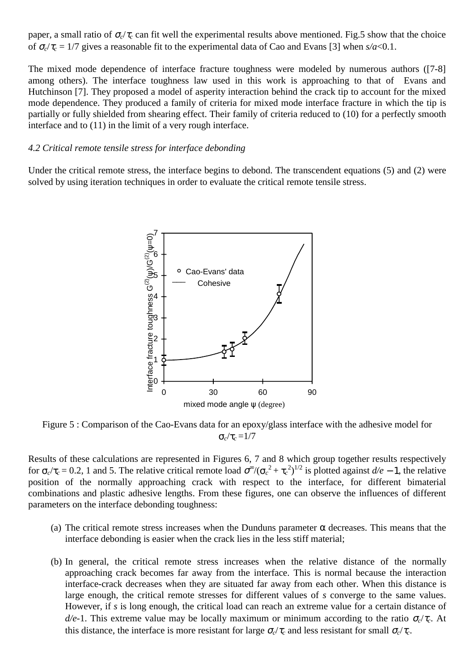paper, a small ratio of  $\sigma_c/\tau_c$  can fit well the experimental results above mentioned. Fig.5 show that the choice of <sup>σ</sup>*c*/<sup>τ</sup>*c* = 1/7 gives a reasonable fit to the experimental data of Cao and Evans [3] when *s/a*<0.1.

The mixed mode dependence of interface fracture toughness were modeled by numerous authors ([7-8] among others). The interface toughness law used in this work is approaching to that of Evans and Hutchinson [7]. They proposed a model of asperity interaction behind the crack tip to account for the mixed mode dependence. They produced a family of criteria for mixed mode interface fracture in which the tip is partially or fully shielded from shearing effect. Their family of criteria reduced to (10) for a perfectly smooth interface and to (11) in the limit of a very rough interface.

### *4.2 Critical remote tensile stress for interface debonding*

Under the critical remote stress, the interface begins to debond. The transcendent equations (5) and (2) were solved by using iteration techniques in order to evaluate the critical remote tensile stress.



Figure 5 : Comparison of the Cao-Evans data for an epoxy/glass interface with the adhesive model for σ*c*/τ*c* =1/7

Results of these calculations are represented in Figures 6, 7 and 8 which group together results respectively for  $\sigma_c/\tau_c = 0.2$ , 1 and 5. The relative critical remote load  $\sigma^{\circ}/(\sigma_c^2 + \tau_c^2)^{1/2}$  is plotted against  $d/e - 1$ , the relative position of the normally approaching crack with respect to the interface, for different bimaterial combinations and plastic adhesive lengths. From these figures, one can observe the influences of different parameters on the interface debonding toughness:

- (a) The critical remote stress increases when the Dunduns parameter  $\alpha$  decreases. This means that the interface debonding is easier when the crack lies in the less stiff material;
- (b) In general, the critical remote stress increases when the relative distance of the normally approaching crack becomes far away from the interface. This is normal because the interaction interface-crack decreases when they are situated far away from each other. When this distance is large enough, the critical remote stresses for different values of *s* converge to the same values. However, if *s* is long enough, the critical load can reach an extreme value for a certain distance of *d/e*-1. This extreme value may be locally maximum or minimum according to the ratio <sup>σ</sup>*c*/<sup>τ</sup>*c*. At this distance, the interface is more resistant for large  $\sigma_c/\tau_c$  and less resistant for small  $\sigma_c/\tau_c$ .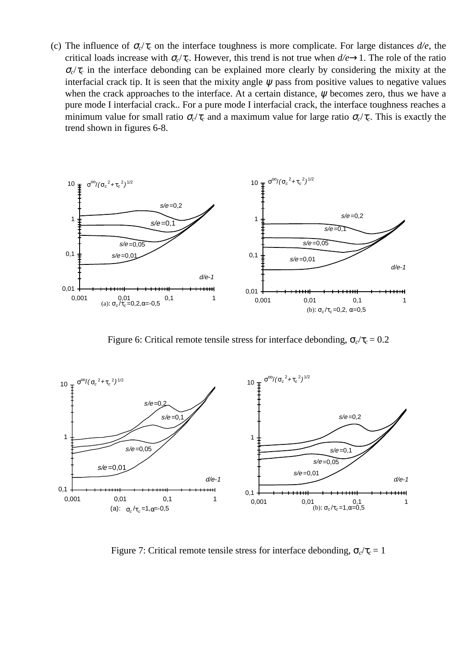(c) The influence of  $\sigma_c/\tau_c$  on the interface toughness is more complicate. For large distances  $d/e$ , the critical loads increase with  $\sigma_c/\tau_c$ . However, this trend is not true when  $d/e \rightarrow 1$ . The role of the ratio  $\sigma_c/\tau_c$  in the interface debonding can be explained more clearly by considering the mixity at the interfacial crack tip. It is seen that the mixity angle  $\psi$  pass from positive values to negative values when the crack approaches to the interface. At a certain distance, ψ becomes zero, thus we have a pure mode I interfacial crack.. For a pure mode I interfacial crack, the interface toughness reaches a minimum value for small ratio  $\sigma_c/\tau_c$  and a maximum value for large ratio  $\sigma_c/\tau_c$ . This is exactly the trend shown in figures 6-8.



Figure 6: Critical remote tensile stress for interface debonding,  $\sigma_c/\tau_c = 0.2$ 



Figure 7: Critical remote tensile stress for interface debonding,  $\sigma_c/\tau_c = 1$